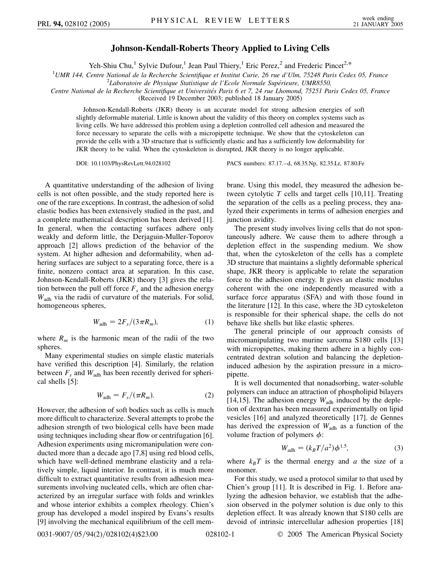## **Johnson-Kendall-Roberts Theory Applied to Living Cells**

Yeh-Shiu Chu,<sup>1</sup> Sylvie Dufour,<sup>1</sup> Jean Paul Thiery,<sup>1</sup> Eric Perez,<sup>2</sup> and Frederic Pincet<sup>2,\*</sup>

<sup>1</sup>UMR 144, Centre National de la Recherche Scientifique et Institut Curie, 26 rue d'Ulm, 75248 Paris Cedex 05, France<br><sup>2</sup>Laboratoire de Physique Statistique de l'Ecole Normale Supérieure *UMP8550* 

<sup>2</sup>Laboratoire de Physique Statistique de l'Ecole Normale Supérieure, UMR8550,

*Centre National de la Recherche Scientifique et Universite´s Paris 6 et 7, 24 rue Lhomond, 75251 Paris Cedex 05, France*

(Received 19 December 2003; published 18 January 2005)

Johnson-Kendall-Roberts (JKR) theory is an accurate model for strong adhesion energies of soft slightly deformable material. Little is known about the validity of this theory on complex systems such as living cells. We have addressed this problem using a depletion controlled cell adhesion and measured the force necessary to separate the cells with a micropipette technique. We show that the cytoskeleton can provide the cells with a 3D structure that is sufficiently elastic and has a sufficiently low deformability for JKR theory to be valid. When the cytoskeleton is disrupted, JKR theory is no longer applicable.

DOI: 10.1103/PhysRevLett.94.028102 PACS numbers: 87.17.–d, 68.35.Np, 82.35.Lr, 87.80.Fe

A quantitative understanding of the adhesion of living cells is not often possible, and the study reported here is one of the rare exceptions. In contrast, the adhesion of solid elastic bodies has been extensively studied in the past, and a complete mathematical description has been derived [1]. In general, when the contacting surfaces adhere only weakly and deform little, the Derjaguin-Muller-Toporov approach [2] allows prediction of the behavior of the system. At higher adhesion and deformability, when adhering surfaces are subject to a separating force, there is a finite, nonzero contact area at separation. In this case, Johnson-Kendall-Roberts (JKR) theory [3] gives the relation between the pull off force  $F_s$  and the adhesion energy *W*adh via the radii of curvature of the materials. For solid, homogeneous spheres,

$$
W_{\text{adh}} = 2F_s/(3\pi R_m),\tag{1}
$$

where  $R_m$  is the harmonic mean of the radii of the two spheres.

Many experimental studies on simple elastic materials have verified this description [4]. Similarly, the relation between  $F_s$  and  $W_{\text{adh}}$  has been recently derived for spherical shells [5]:

$$
W_{\text{adh}} = F_s / (\pi R_m). \tag{2}
$$

However, the adhesion of soft bodies such as cells is much more difficult to characterize. Several attempts to probe the adhesion strength of two biological cells have been made using techniques including shear flow or centrifugation [6]. Adhesion experiments using micromanipulation were conducted more than a decade ago [7,8] using red blood cells, which have well-defined membrane elasticity and a relatively simple, liquid interior. In contrast, it is much more difficult to extract quantitative results from adhesion measurements involving nucleated cells, which are often characterized by an irregular surface with folds and wrinkles and whose interior exhibits a complex rheology. Chien's group has developed a model inspired by Evans's results [9] involving the mechanical equilibrium of the cell membrane. Using this model, they measured the adhesion between cytolytic *T* cells and target cells [10,11]. Treating the separation of the cells as a peeling process, they analyzed their experiments in terms of adhesion energies and junction avidity.

The present study involves living cells that do not spontaneously adhere. We cause them to adhere through a depletion effect in the suspending medium. We show that, when the cytoskeleton of the cells has a complete 3D structure that maintains a slightly deformable spherical shape, JKR theory is applicable to relate the separation force to the adhesion energy. It gives an elastic modulus coherent with the one independently measured with a surface force apparatus (SFA) and with those found in the literature [12]. In this case, where the 3D cytoskeleton is responsible for their spherical shape, the cells do not behave like shells but like elastic spheres.

The general principle of our approach consists of micromanipulating two murine sarcoma S180 cells [13] with micropipettes, making them adhere in a highly concentrated dextran solution and balancing the depletioninduced adhesion by the aspiration pressure in a micropipette.

It is well documented that nonadsorbing, water-soluble polymers can induce an attraction of phospholipid bilayers [14,15]. The adhesion energy  $W_{\text{adh}}$  induced by the depletion of dextran has been measured experimentally on lipid vesicles [16] and analyzed theoretically [17]. de Gennes has derived the expression of  $W_{\text{adh}}$  as a function of the volume fraction of polymers  $\phi$ :

$$
W_{\text{adh}} = (k_B T/a^2) \phi^{1.5},\tag{3}
$$

where  $k_B T$  is the thermal energy and *a* the size of a monomer.

For this study, we used a protocol similar to that used by Chien's group [11]. It is described in Fig. 1. Before analyzing the adhesion behavior, we establish that the adhesion observed in the polymer solution is due only to this depletion effect. It was already known that S180 cells are devoid of intrinsic intercellular adhesion properties [18]

0031-9007/05/94(2)/028102(4)\$23.00 028102-1 **2005** The American Physical Society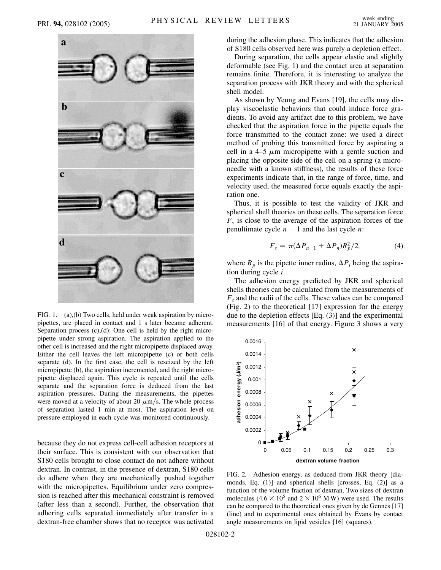

FIG. 1. (a),(b) Two cells, held under weak aspiration by micropipettes, are placed in contact and 1 s later became adherent. Separation process  $(c)$ , $(d)$ : One cell is held by the right micropipette under strong aspiration. The aspiration applied to the other cell is increased and the right micropipette displaced away. Either the cell leaves the left micropipette (c) or both cells separate (d). In the first case, the cell is reseized by the left micropipette (b), the aspiration incremented, and the right micropipette displaced again. This cycle is repeated until the cells separate and the separation force is deduced from the last aspiration pressures. During the measurements, the pipettes were moved at a velocity of about 20  $\mu$ m/s. The whole process of separation lasted 1 min at most. The aspiration level on pressure employed in each cycle was monitored continuously.

because they do not express cell-cell adhesion receptors at their surface. This is consistent with our observation that S180 cells brought to close contact do not adhere without dextran. In contrast, in the presence of dextran, S180 cells do adhere when they are mechanically pushed together with the micropipettes. Equilibrium under zero compression is reached after this mechanical constraint is removed (after less than a second). Further, the observation that adhering cells separated immediately after transfer in a dextran-free chamber shows that no receptor was activated during the adhesion phase. This indicates that the adhesion of S180 cells observed here was purely a depletion effect.

During separation, the cells appear elastic and slightly deformable (see Fig. 1) and the contact area at separation remains finite. Therefore, it is interesting to analyze the separation process with JKR theory and with the spherical shell model.

As shown by Yeung and Evans [19], the cells may display viscoelastic behaviors that could induce force gradients. To avoid any artifact due to this problem, we have checked that the aspiration force in the pipette equals the force transmitted to the contact zone: we used a direct method of probing this transmitted force by aspirating a cell in a 4–5  $\mu$ m micropipette with a gentle suction and placing the opposite side of the cell on a spring (a microneedle with a known stiffness), the results of these force experiments indicate that, in the range of force, time, and velocity used, the measured force equals exactly the aspiration one.

Thus, it is possible to test the validity of JKR and spherical shell theories on these cells. The separation force  $F<sub>s</sub>$  is close to the average of the aspiration forces of the penultimate cycle  $n - 1$  and the last cycle *n*:

$$
F_s = \pi(\Delta P_{n-1} + \Delta P_n)R_p^2/2,
$$
 (4)

where  $R_p$  is the pipette inner radius,  $\Delta P_i$  being the aspiration during cycle *i*.

The adhesion energy predicted by JKR and spherical shells theories can be calculated from the measurements of  $F<sub>s</sub>$  and the radii of the cells. These values can be compared (Fig. 2) to the theoretical [17] expression for the energy due to the depletion effects [Eq. (3)] and the experimental measurements [16] of that energy. Figure 3 shows a very



FIG. 2. Adhesion energy, as deduced from JKR theory [diamonds, Eq. (1)] and spherical shells [crosses, Eq. (2)] as a function of the volume fraction of dextran. Two sizes of dextran molecules  $(4.6 \times 10^5 \text{ and } 2 \times 10^6 \text{ M W})$  were used. The results can be compared to the theoretical ones given by de Gennes [17] (line) and to experimental ones obtained by Evans by contact angle measurements on lipid vesicles [16] (squares).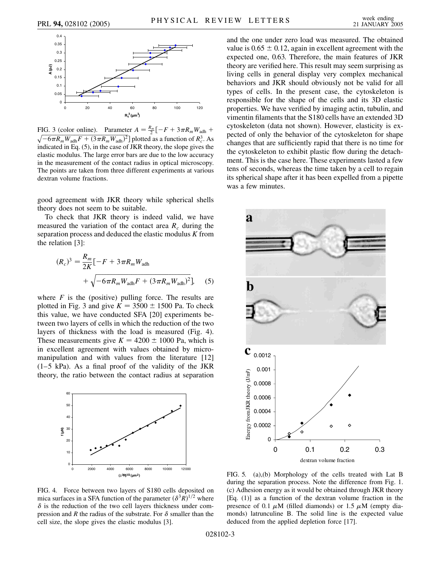

FIG. 3 (color online). Parameter  $A = \frac{R_m}{2} \left[ -F + 3 \pi R_m W_{\text{adh}} + \right]$  $\sqrt{-6\pi R_m W_{\text{adh}}F + (3\pi R_m W_{\text{adh}})^2}$ ] plotted as a function of  $R_c^3$ . As indicated in Eq. (5), in the case of JKR theory, the slope gives the elastic modulus. The large error bars are due to the low accuracy in the measurement of the contact radius in optical microscopy. The points are taken from three different experiments at various dextran volume fractions.

good agreement with JKR theory while spherical shells theory does not seem to be suitable.

To check that JKR theory is indeed valid, we have measured the variation of the contact area  $R_c$  during the separation process and deduced the elastic modulus *K* from the relation [3]:

$$
(R_c)^3 = \frac{R_m}{2K}[-F + 3\pi R_m W_{\text{adh}} + \sqrt{-6\pi R_m W_{\text{adh}}F + (3\pi R_m W_{\text{adh}})^2}],
$$
 (5)

where  $F$  is the (positive) pulling force. The results are plotted in Fig. 3 and give  $K = 3500 \pm 1500$  Pa. To check this value, we have conducted SFA [20] experiments between two layers of cells in which the reduction of the two layers of thickness with the load is measured (Fig. 4). These measurements give  $K = 4200 \pm 1000$  Pa, which is in excellent agreement with values obtained by micromanipulation and with values from the literature [12]  $(1-5)$  kPa). As a final proof of the validity of the JKR theory, the ratio between the contact radius at separation



and the one under zero load was measured. The obtained value is  $0.65 \pm 0.12$ , again in excellent agreement with the expected one, 0.63. Therefore, the main features of JKR theory are verified here. This result may seem surprising as living cells in general display very complex mechanical behaviors and JKR should obviously not be valid for all types of cells. In the present case, the cytoskeleton is responsible for the shape of the cells and its 3D elastic properties. We have verified by imaging actin, tubulin, and vimentin filaments that the S180 cells have an extended 3D cytoskeleton (data not shown). However, elasticity is expected of only the behavior of the cytoskeleton for shape changes that are sufficiently rapid that there is no time for the cytoskeleton to exhibit plastic flow during the detachment. This is the case here. These experiments lasted a few tens of seconds, whereas the time taken by a cell to regain its spherical shape after it has been expelled from a pipette was a few minutes.



FIG. 4. Force between two layers of S180 cells deposited on mica surfaces in a SFA function of the parameter  $(\delta^3 R)^{1/2}$  where  $\delta$  is the reduction of the two cell layers thickness under compression and *R* the radius of the substrate. For  $\delta$  smaller than the cell size, the slope gives the elastic modulus [3].

FIG. 5. (a),(b) Morphology of the cells treated with Lat B during the separation process. Note the difference from Fig. 1. (c) Adhesion energy as it would be obtained through JKR theory [Eq. (1)] as a function of the dextran volume fraction in the presence of 0.1  $\mu$ M (filled diamonds) or 1.5  $\mu$ M (empty diamonds) latrunculine B. The solid line is the expected value deduced from the applied depletion force [17].